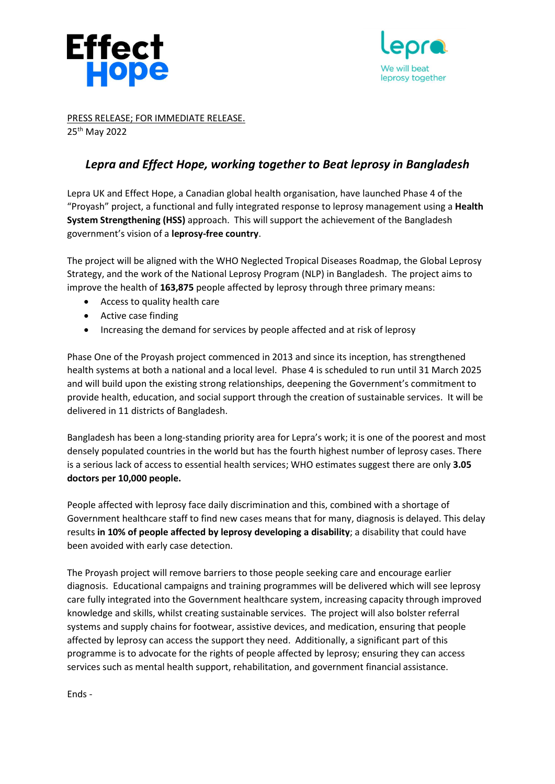



PRESS RELEASE; FOR IMMEDIATE RELEASE. 25th May 2022

## Lepra and Effect Hope, working together to Beat leprosy in Bangladesh

Lepra UK and Effect Hope, a Canadian global health organisation, have launched Phase 4 of the "Proyash" project, a functional and fully integrated response to leprosy management using a Health System Strengthening (HSS) approach. This will support the achievement of the Bangladesh government's vision of a leprosy-free country.

The project will be aligned with the WHO Neglected Tropical Diseases Roadmap, the Global Leprosy Strategy, and the work of the National Leprosy Program (NLP) in Bangladesh. The project aims to improve the health of 163,875 people affected by leprosy through three primary means:

- Access to quality health care
- Active case finding
- Increasing the demand for services by people affected and at risk of leprosy

Phase One of the Proyash project commenced in 2013 and since its inception, has strengthened health systems at both a national and a local level. Phase 4 is scheduled to run until 31 March 2025 and will build upon the existing strong relationships, deepening the Government's commitment to provide health, education, and social support through the creation of sustainable services. It will be delivered in 11 districts of Bangladesh.

Bangladesh has been a long-standing priority area for Lepra's work; it is one of the poorest and most densely populated countries in the world but has the fourth highest number of leprosy cases. There is a serious lack of access to essential health services; WHO estimates suggest there are only 3.05 doctors per 10,000 people.

People affected with leprosy face daily discrimination and this, combined with a shortage of Government healthcare staff to find new cases means that for many, diagnosis is delayed. This delay results in 10% of people affected by leprosy developing a disability; a disability that could have been avoided with early case detection.

The Proyash project will remove barriers to those people seeking care and encourage earlier diagnosis. Educational campaigns and training programmes will be delivered which will see leprosy care fully integrated into the Government healthcare system, increasing capacity through improved knowledge and skills, whilst creating sustainable services. The project will also bolster referral systems and supply chains for footwear, assistive devices, and medication, ensuring that people affected by leprosy can access the support they need. Additionally, a significant part of this programme is to advocate for the rights of people affected by leprosy; ensuring they can access services such as mental health support, rehabilitation, and government financial assistance.

Ends -